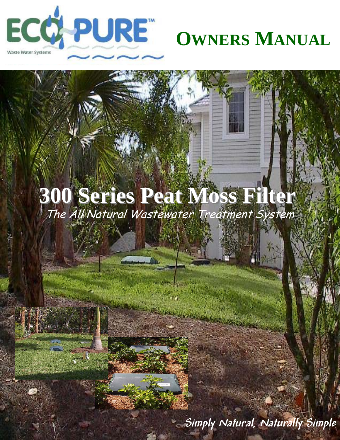

# **OWNERS MANUAL**

# The All Natural Wastewater Treatment System **300 Series Peat Moss Filter 300 Series Peat Moss Filter**

**Simply Natural, Naturally Simple**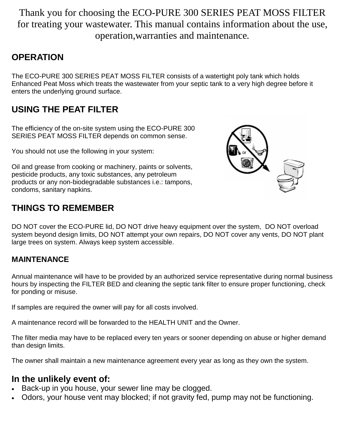Thank you for choosing the ECO-PURE 300 SERIES PEAT MOSS FILTER for treating your wastewater. This manual contains information about the use, operation,warranties and maintenance*.*

## **OPERATION**

The ECO-PURE 300 SERIES PEAT MOSS FILTER consists of a watertight poly tank which holds Enhanced Peat Moss which treats the wastewater from your septic tank to a very high degree before it enters the underlying ground surface.

# **USING THE PEAT FILTER**

The efficiency of the on-site system using the ECO-PURE 300 SERIES PEAT MOSS FILTER depends on common sense.

You should not use the following in your system:

Oil and grease from cooking or machinery, paints or solvents, pesticide products, any toxic substances, any petroleum products or any non-biodegradable substances i.e.: tampons, condoms, sanitary napkins.

# **THINGS TO REMEMBER**

DO NOT cover the ECO-PURE lid, DO NOT drive heavy equipment over the system, DO NOT overload system beyond design limits, DO NOT attempt your own repairs, DO NOT cover any vents, DO NOT plant large trees on system. Always keep system accessible.

### **MAINTENANCE**

Annual maintenance will have to be provided by an authorized service representative during normal business hours by inspecting the FILTER BED and cleaning the septic tank filter to ensure proper functioning, check for ponding or misuse.

If samples are required the owner will pay for all costs involved.

A maintenance record will be forwarded to the HEALTH UNIT and the Owner.

The filter media may have to be replaced every ten years or sooner depending on abuse or higher demand than design limits.

The owner shall maintain a new maintenance agreement every year as long as they own the system.

# **In the unlikely event of:**

- Back-up in you house, your sewer line may be clogged.
- Odors, your house vent may blocked; if not gravity fed, pump may not be functioning.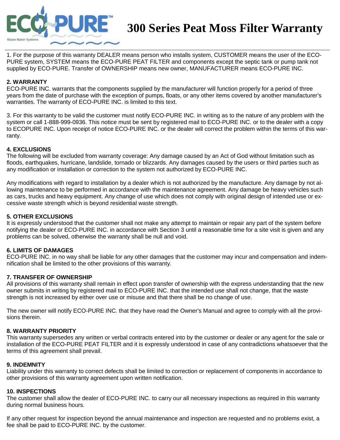

# **300 Series Peat Moss Filter Warranty**

1. For the purpose of this warranty DEALER means person who installs system, CUSTOMER means the user of the ECO-PURE system, SYSTEM means the ECO-PURE PEAT FILTER and components except the septic tank or pump tank not supplied by ECO-PURE. Transfer of OWNERSHIP means new owner, MANUFACTURER means ECO-PURE INC.

#### **2. WARRANTY**

ECO-PURE INC. warrants that the components supplied by the manufacturer will function properly for a period of three years from the date of purchase with the exception of pumps, floats, or any other items covered by another manufacturer's warranties. The warranty of ECO-PURE INC. is limited to this text.

3. For this warranty to be valid the customer must notify ECO-PURE INC. in writing as to the nature of any problem with the system or call 1-888-999-0936. This notice must be sent by registered mail to ECO-PURE INC. or to the dealer with a copy to ECOPURE INC. Upon receipt of notice ECO-PURE INC. or the dealer will correct the problem within the terms of this warranty.

#### **4. EXCLUSIONS**

The following will be excluded from warranty coverage: Any damage caused by an Act of God without limitation such as floods, earthquakes, hurricane, landslide, tornado or blizzards. Any damages caused by the users or third parties such as any modification or installation or correction to the system not authorized by ECO-PURE INC.

Any modifications with regard to installation by a dealer which is not authorized by the manufacture. Any damage by not allowing maintenance to be performed in accordance with the maintenance agreement. Any damage be heavy vehicles such as cars, trucks and heavy equipment. Any change of use which does not comply with original design of intended use or excessive waste strength which is beyond residential waste strength.

#### **5. OTHER EXCLUSIONS**

It is expressly understood that the customer shall not make any attempt to maintain or repair any part of the system before notifying the dealer or ECO-PURE INC. in accordance with Section 3 until a reasonable time for a site visit is given and any problems can be solved, otherwise the warranty shall be null and void.

#### **6. LIMITS OF DAMAGES**

ECO-PURE INC. in no way shall be liable for any other damages that the customer may incur and compensation and indemnification shall be limited to the other provisions of this warranty.

#### **7. TRANSFER OF OWNERSHIP**

All provisions of this warranty shall remain in effect upon transfer of ownership with the express understanding that the new owner submits in writing by registered mail to ECO-PURE INC. that the intended use shall not change, that the waste strength is not increased by either over use or misuse and that there shall be no change of use.

The new owner will notify ECO-PURE INC. that they have read the Owner's Manual and agree to comply with all the provisions therein.

#### **8. WARRANTY PRIORITY**

This warranty supersedes any written or verbal contracts entered into by the customer or dealer or any agent for the sale or installation of the ECO-PURE PEAT FILTER and it is expressly understood in case of any contradictions whatsoever that the terms of this agreement shall prevail.

#### **9. INDEMNITY**

Liability under this warranty to correct defects shall be limited to correction or replacement of components in accordance to other provisions of this warranty agreement upon written notification.

#### **10. INSPECTIONS**

The customer shall allow the dealer of ECO-PURE INC. to carry our all necessary inspections as required in this warranty during normal business hours.

If any other request for inspection beyond the annual maintenance and inspection are requested and no problems exist, a fee shall be paid to ECO-PURE INC. by the customer.